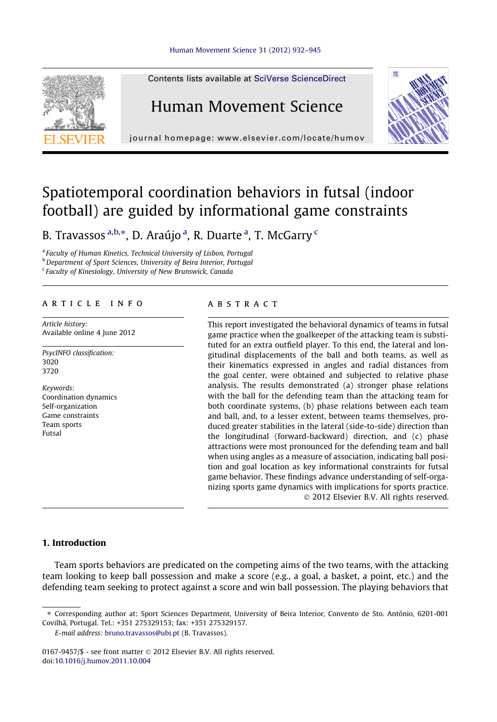

Contents lists available at [SciVerse ScienceDirect](http://www.sciencedirect.com/science/journal/01679457)

## Human Movement Science



journal homepage: [www.elsevier.com/locate/humov](http://www.elsevier.com/locate/humov)

# Spatiotemporal coordination behaviors in futsal (indoor football) are guided by informational game constraints

B. Travassos <sup>a,b,</sup>\*, D. Araújo <sup>a</sup>, R. Duarte <sup>a</sup>, T. McGarry <sup>c</sup>

<sup>a</sup> Faculty of Human Kinetics, Technical University of Lisbon, Portugal **b** Department of Sport Sciences, University of Beira Interior, Portugal

<sup>c</sup> Faculty of Kinesiology, University of New Brunswick, Canada

## article info

Article history: Available online 4 June 2012

PsycINFO classification: 3020 3720

Keywords: Coordination dynamics Self-organization Game constraints Team sports Futsal

## **ABSTRACT**

This report investigated the behavioral dynamics of teams in futsal game practice when the goalkeeper of the attacking team is substituted for an extra outfield player. To this end, the lateral and longitudinal displacements of the ball and both teams, as well as their kinematics expressed in angles and radial distances from the goal center, were obtained and subjected to relative phase analysis. The results demonstrated (a) stronger phase relations with the ball for the defending team than the attacking team for both coordinate systems, (b) phase relations between each team and ball, and, to a lesser extent, between teams themselves, produced greater stabilities in the lateral (side-to-side) direction than the longitudinal (forward-backward) direction, and (c) phase attractions were most pronounced for the defending team and ball when using angles as a measure of association, indicating ball position and goal location as key informational constraints for futsal game behavior. These findings advance understanding of self-organizing sports game dynamics with implications for sports practice. - 2012 Elsevier B.V. All rights reserved.

## 1. Introduction

Team sports behaviors are predicated on the competing aims of the two teams, with the attacking team looking to keep ball possession and make a score (e.g., a goal, a basket, a point, etc.) and the defending team seeking to protect against a score and win ball possession. The playing behaviors that

E-mail address: [bruno.travassos@ubi.pt](mailto:bruno.travassos@ubi.pt) (B. Travassos).

<sup>⇑</sup> Corresponding author at: Sport Sciences Department, University of Beira Interior, Convento de Sto. António, 6201-001 Covilhã, Portugal. Tel.: +351 275329153; fax: +351 275329157.

<sup>0167-9457/\$ -</sup> see front matter © 2012 Elsevier B.V. All rights reserved. doi:[10.1016/j.humov.2011.10.004](http://dx.doi.org/10.1016/j.humov.2011.10.004)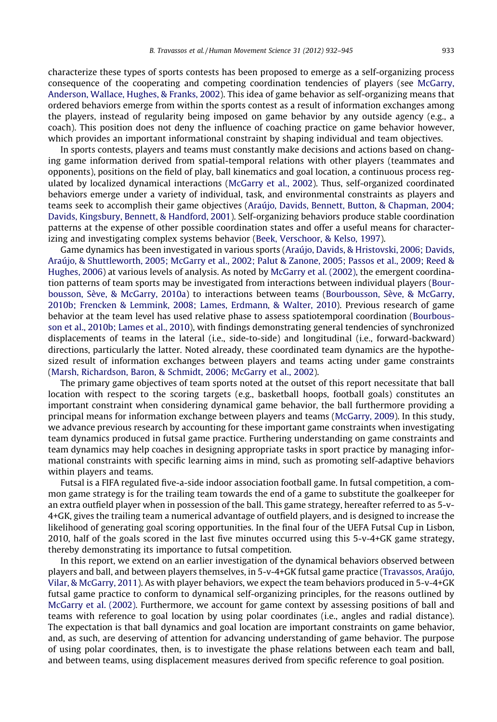characterize these types of sports contests has been proposed to emerge as a self-organizing process consequence of the cooperating and competing coordination tendencies of players (see [McGarry,](#page-13-0) [Anderson, Wallace, Hughes, & Franks, 2002](#page-13-0)). This idea of game behavior as self-organizing means that ordered behaviors emerge from within the sports contest as a result of information exchanges among the players, instead of regularity being imposed on game behavior by any outside agency (e.g., a coach). This position does not deny the influence of coaching practice on game behavior however, which provides an important informational constraint by shaping individual and team objectives.

In sports contests, players and teams must constantly make decisions and actions based on changing game information derived from spatial-temporal relations with other players (teammates and opponents), positions on the field of play, ball kinematics and goal location, a continuous process regulated by localized dynamical interactions [\(McGarry et al., 2002\)](#page-13-0). Thus, self-organized coordinated behaviors emerge under a variety of individual, task, and environmental constraints as players and teams seek to accomplish their game objectives ([Araújo, Davids, Bennett, Button, & Chapman, 2004;](#page-12-0) [Davids, Kingsbury, Bennett, & Handford, 2001](#page-12-0)). Self-organizing behaviors produce stable coordination patterns at the expense of other possible coordination states and offer a useful means for characterizing and investigating complex systems behavior [\(Beek, Verschoor, & Kelso, 1997](#page-12-0)).

Game dynamics has been investigated in various sports ([Araújo, Davids, & Hristovski, 2006; Davids,](#page-12-0) [Araújo, & Shuttleworth, 2005; McGarry et al., 2002; Palut & Zanone, 2005; Passos et al., 2009; Reed &](#page-12-0) [Hughes, 2006\)](#page-12-0) at various levels of analysis. As noted by [McGarry et al. \(2002\)](#page-13-0), the emergent coordination patterns of team sports may be investigated from interactions between individual players ([Bour](#page-12-0)[bousson, Sève, & McGarry, 2010a](#page-12-0)) to interactions between teams ([Bourbousson, Sève, & McGarry,](#page-12-0) [2010b; Frencken & Lemmink, 2008; Lames, Erdmann, & Walter, 2010\)](#page-12-0). Previous research of game behavior at the team level has used relative phase to assess spatiotemporal coordination ([Bourbous](#page-12-0)[son et al., 2010b; Lames et al., 2010\)](#page-12-0), with findings demonstrating general tendencies of synchronized displacements of teams in the lateral (i.e., side-to-side) and longitudinal (i.e., forward-backward) directions, particularly the latter. Noted already, these coordinated team dynamics are the hypothesized result of information exchanges between players and teams acting under game constraints [\(Marsh, Richardson, Baron, & Schmidt, 2006; McGarry et al., 2002\)](#page-13-0).

The primary game objectives of team sports noted at the outset of this report necessitate that ball location with respect to the scoring targets (e.g., basketball hoops, football goals) constitutes an important constraint when considering dynamical game behavior, the ball furthermore providing a principal means for information exchange between players and teams ([McGarry, 2009](#page-13-0)). In this study, we advance previous research by accounting for these important game constraints when investigating team dynamics produced in futsal game practice. Furthering understanding on game constraints and team dynamics may help coaches in designing appropriate tasks in sport practice by managing informational constraints with specific learning aims in mind, such as promoting self-adaptive behaviors within players and teams.

Futsal is a FIFA regulated five-a-side indoor association football game. In futsal competition, a common game strategy is for the trailing team towards the end of a game to substitute the goalkeeper for an extra outfield player when in possession of the ball. This game strategy, hereafter referred to as 5-v-4+GK, gives the trailing team a numerical advantage of outfield players, and is designed to increase the likelihood of generating goal scoring opportunities. In the final four of the UEFA Futsal Cup in Lisbon, 2010, half of the goals scored in the last five minutes occurred using this 5-v-4+GK game strategy, thereby demonstrating its importance to futsal competition.

In this report, we extend on an earlier investigation of the dynamical behaviors observed between players and ball, and between players themselves, in 5-v-4+GK futsal game practice ([Travassos, Araújo,](#page-13-0) [Vilar, & McGarry, 2011\)](#page-13-0). As with player behaviors, we expect the team behaviors produced in 5-v-4+GK futsal game practice to conform to dynamical self-organizing principles, for the reasons outlined by [McGarry et al. \(2002\).](#page-13-0) Furthermore, we account for game context by assessing positions of ball and teams with reference to goal location by using polar coordinates (i.e., angles and radial distance). The expectation is that ball dynamics and goal location are important constraints on game behavior, and, as such, are deserving of attention for advancing understanding of game behavior. The purpose of using polar coordinates, then, is to investigate the phase relations between each team and ball, and between teams, using displacement measures derived from specific reference to goal position.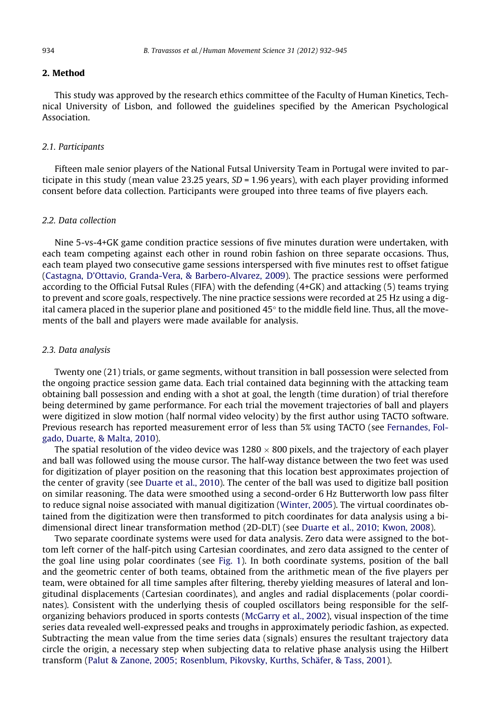## 2. Method

This study was approved by the research ethics committee of the Faculty of Human Kinetics, Technical University of Lisbon, and followed the guidelines specified by the American Psychological Association.

#### 2.1. Participants

Fifteen male senior players of the National Futsal University Team in Portugal were invited to participate in this study (mean value 23.25 years,  $SD = 1.96$  years), with each player providing informed consent before data collection. Participants were grouped into three teams of five players each.

## 2.2. Data collection

Nine 5-vs-4+GK game condition practice sessions of five minutes duration were undertaken, with each team competing against each other in round robin fashion on three separate occasions. Thus, each team played two consecutive game sessions interspersed with five minutes rest to offset fatigue ([Castagna, D'Ottavio, Granda-Vera, & Barbero-Alvarez, 2009\)](#page-12-0). The practice sessions were performed according to the Official Futsal Rules (FIFA) with the defending (4+GK) and attacking (5) teams trying to prevent and score goals, respectively. The nine practice sessions were recorded at 25 Hz using a digital camera placed in the superior plane and positioned  $45^{\circ}$  to the middle field line. Thus, all the movements of the ball and players were made available for analysis.

## 2.3. Data analysis

Twenty one (21) trials, or game segments, without transition in ball possession were selected from the ongoing practice session game data. Each trial contained data beginning with the attacking team obtaining ball possession and ending with a shot at goal, the length (time duration) of trial therefore being determined by game performance. For each trial the movement trajectories of ball and players were digitized in slow motion (half normal video velocity) by the first author using TACTO software. Previous research has reported measurement error of less than 5% using TACTO (see [Fernandes, Fol](#page-13-0)[gado, Duarte, & Malta, 2010](#page-13-0)).

The spatial resolution of the video device was 1280  $\times$  800 pixels, and the trajectory of each player and ball was followed using the mouse cursor. The half-way distance between the two feet was used for digitization of player position on the reasoning that this location best approximates projection of the center of gravity (see [Duarte et al., 2010\)](#page-13-0). The center of the ball was used to digitize ball position on similar reasoning. The data were smoothed using a second-order 6 Hz Butterworth low pass filter to reduce signal noise associated with manual digitization ([Winter, 2005](#page-13-0)). The virtual coordinates obtained from the digitization were then transformed to pitch coordinates for data analysis using a bidimensional direct linear transformation method (2D-DLT) (see [Duarte et al., 2010; Kwon, 2008](#page-13-0)).

Two separate coordinate systems were used for data analysis. Zero data were assigned to the bottom left corner of the half-pitch using Cartesian coordinates, and zero data assigned to the center of the goal line using polar coordinates (see [Fig. 1](#page-3-0)). In both coordinate systems, position of the ball and the geometric center of both teams, obtained from the arithmetic mean of the five players per team, were obtained for all time samples after filtering, thereby yielding measures of lateral and longitudinal displacements (Cartesian coordinates), and angles and radial displacements (polar coordinates). Consistent with the underlying thesis of coupled oscillators being responsible for the selforganizing behaviors produced in sports contests ([McGarry et al., 2002](#page-13-0)), visual inspection of the time series data revealed well-expressed peaks and troughs in approximately periodic fashion, as expected. Subtracting the mean value from the time series data (signals) ensures the resultant trajectory data circle the origin, a necessary step when subjecting data to relative phase analysis using the Hilbert transform [\(Palut & Zanone, 2005; Rosenblum, Pikovsky, Kurths, Schäfer, & Tass, 2001](#page-13-0)).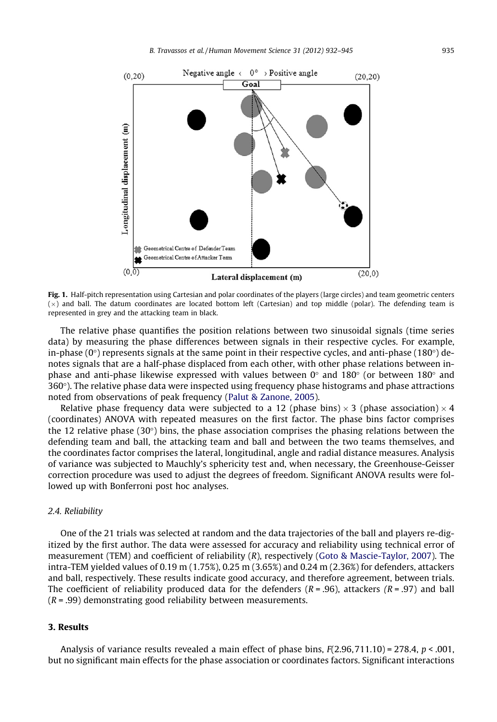<span id="page-3-0"></span>

Fig. 1. Half-pitch representation using Cartesian and polar coordinates of the players (large circles) and team geometric centers  $(\times)$  and ball. The datum coordinates are located bottom left (Cartesian) and top middle (polar). The defending team is represented in grey and the attacking team in black.

The relative phase quantifies the position relations between two sinusoidal signals (time series data) by measuring the phase differences between signals in their respective cycles. For example, in-phase  $(0^{\circ})$  represents signals at the same point in their respective cycles, and anti-phase (180 $^{\circ}$ ) denotes signals that are a half-phase displaced from each other, with other phase relations between inphase and anti-phase likewise expressed with values between  $0^{\circ}$  and  $180^{\circ}$  (or between  $180^{\circ}$  and  $360^\circ$ ). The relative phase data were inspected using frequency phase histograms and phase attractions noted from observations of peak frequency [\(Palut & Zanone, 2005](#page-13-0)).

Relative phase frequency data were subjected to a 12 (phase bins)  $\times$  3 (phase association)  $\times$  4 (coordinates) ANOVA with repeated measures on the first factor. The phase bins factor comprises the 12 relative phase (30 $\degree$ ) bins, the phase association comprises the phasing relations between the defending team and ball, the attacking team and ball and between the two teams themselves, and the coordinates factor comprises the lateral, longitudinal, angle and radial distance measures. Analysis of variance was subjected to Mauchly's sphericity test and, when necessary, the Greenhouse-Geisser correction procedure was used to adjust the degrees of freedom. Significant ANOVA results were followed up with Bonferroni post hoc analyses.

## 2.4. Reliability

One of the 21 trials was selected at random and the data trajectories of the ball and players re-digitized by the first author. The data were assessed for accuracy and reliability using technical error of measurement (TEM) and coefficient of reliability (R), respectively [\(Goto & Mascie-Taylor, 2007](#page-13-0)). The intra-TEM yielded values of 0.19 m (1.75%), 0.25 m (3.65%) and 0.24 m (2.36%) for defenders, attackers and ball, respectively. These results indicate good accuracy, and therefore agreement, between trials. The coefficient of reliability produced data for the defenders  $(R = .96)$ , attackers  $(R = .97)$  and ball  $(R = .99)$  demonstrating good reliability between measurements.

## 3. Results

Analysis of variance results revealed a main effect of phase bins,  $F(2.96, 711.10) = 278.4$ ,  $p < .001$ , but no significant main effects for the phase association or coordinates factors. Significant interactions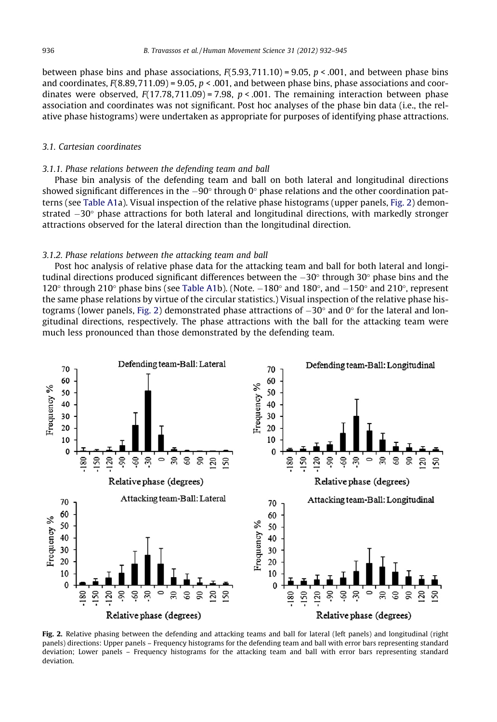<span id="page-4-0"></span>between phase bins and phase associations,  $F(5.93, 711.10) = 9.05$ ,  $p < .001$ , and between phase bins and coordinates,  $F(8.89,711.09) = 9.05$ ,  $p < .001$ , and between phase bins, phase associations and coordinates were observed,  $F(17.78,711.09) = 7.98$ ,  $p < .001$ . The remaining interaction between phase association and coordinates was not significant. Post hoc analyses of the phase bin data (i.e., the relative phase histograms) were undertaken as appropriate for purposes of identifying phase attractions.

#### 3.1. Cartesian coordinates

## 3.1.1. Phase relations between the defending team and ball

Phase bin analysis of the defending team and ball on both lateral and longitudinal directions showed significant differences in the  $-90^\circ$  through 0 $^\circ$  phase relations and the other coordination patterns (see [Table A1](#page-10-0)a). Visual inspection of the relative phase histograms (upper panels, Fig. 2) demonstrated  $-30^{\circ}$  phase attractions for both lateral and longitudinal directions, with markedly stronger attractions observed for the lateral direction than the longitudinal direction.

#### 3.1.2. Phase relations between the attacking team and ball

Post hoc analysis of relative phase data for the attacking team and ball for both lateral and longitudinal directions produced significant differences between the  $-30^{\circ}$  through 30 $^{\circ}$  phase bins and the 120 $\degree$  through 210 $\degree$  phase bins (see [Table A1b](#page-10-0)). (Note.  $-180\degree$  and 180 $\degree$ , and  $-150\degree$  and 210 $\degree$ , represent the same phase relations by virtue of the circular statistics.) Visual inspection of the relative phase histograms (lower panels, Fig. 2) demonstrated phase attractions of  $-30^{\circ}$  and 0 $^{\circ}$  for the lateral and longitudinal directions, respectively. The phase attractions with the ball for the attacking team were much less pronounced than those demonstrated by the defending team.



Fig. 2. Relative phasing between the defending and attacking teams and ball for lateral (left panels) and longitudinal (right panels) directions: Upper panels – Frequency histograms for the defending team and ball with error bars representing standard deviation; Lower panels – Frequency histograms for the attacking team and ball with error bars representing standard deviation.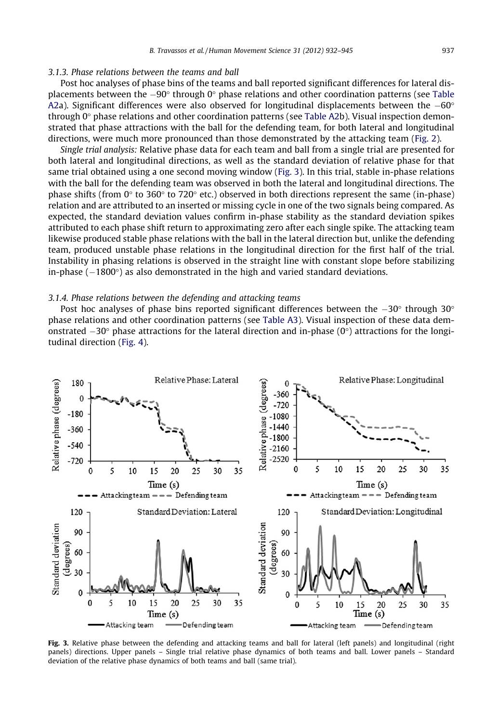#### <span id="page-5-0"></span>3.1.3. Phase relations between the teams and ball

Post hoc analyses of phase bins of the teams and ball reported significant differences for lateral displacements between the  $-90^{\circ}$  through 0 $^{\circ}$  phase relations and other coordination patterns (see [Table](#page-11-0) [A2a](#page-11-0)). Significant differences were also observed for longitudinal displacements between the  $-60^{\circ}$ through  $0^\circ$  phase relations and other coordination patterns (see [Table A2b](#page-11-0)). Visual inspection demonstrated that phase attractions with the ball for the defending team, for both lateral and longitudinal directions, were much more pronounced than those demonstrated by the attacking team ([Fig. 2](#page-4-0)).

Single trial analysis: Relative phase data for each team and ball from a single trial are presented for both lateral and longitudinal directions, as well as the standard deviation of relative phase for that same trial obtained using a one second moving window (Fig. 3). In this trial, stable in-phase relations with the ball for the defending team was observed in both the lateral and longitudinal directions. The phase shifts (from  $0^{\circ}$  to 360 $^{\circ}$  to 720 $^{\circ}$  etc.) observed in both directions represent the same (in-phase) relation and are attributed to an inserted or missing cycle in one of the two signals being compared. As expected, the standard deviation values confirm in-phase stability as the standard deviation spikes attributed to each phase shift return to approximating zero after each single spike. The attacking team likewise produced stable phase relations with the ball in the lateral direction but, unlike the defending team, produced unstable phase relations in the longitudinal direction for the first half of the trial. Instability in phasing relations is observed in the straight line with constant slope before stabilizing in-phase  $(-1800^{\circ})$  as also demonstrated in the high and varied standard deviations.

## 3.1.4. Phase relations between the defending and attacking teams

Post hoc analyses of phase bins reported significant differences between the  $-30^{\circ}$  through 30 $^{\circ}$ phase relations and other coordination patterns (see [Table A3\)](#page-11-0). Visual inspection of these data demonstrated  $-30^{\circ}$  phase attractions for the lateral direction and in-phase (0 $^{\circ}$ ) attractions for the longitudinal direction ([Fig. 4\)](#page-6-0).



Fig. 3. Relative phase between the defending and attacking teams and ball for lateral (left panels) and longitudinal (right panels) directions. Upper panels – Single trial relative phase dynamics of both teams and ball. Lower panels – Standard deviation of the relative phase dynamics of both teams and ball (same trial).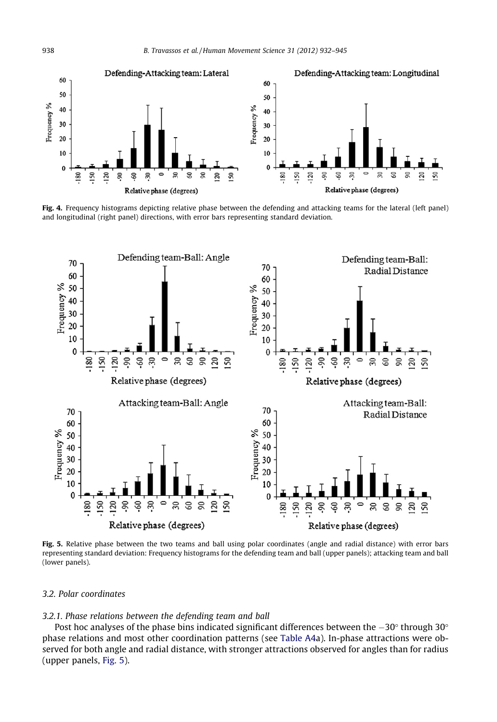

Fig. 4. Frequency histograms depicting relative phase between the defending and attacking teams for the lateral (left panel) and longitudinal (right panel) directions, with error bars representing standard deviation.



Fig. 5. Relative phase between the two teams and ball using polar coordinates (angle and radial distance) with error bars representing standard deviation: Frequency histograms for the defending team and ball (upper panels); attacking team and ball (lower panels).

#### 3.2. Polar coordinates

## 3.2.1. Phase relations between the defending team and ball

Post hoc analyses of the phase bins indicated significant differences between the  $-30^{\circ}$  through 30 $^{\circ}$ phase relations and most other coordination patterns (see [Table A4](#page-11-0)a). In-phase attractions were observed for both angle and radial distance, with stronger attractions observed for angles than for radius (upper panels, Fig. 5).

<span id="page-6-0"></span>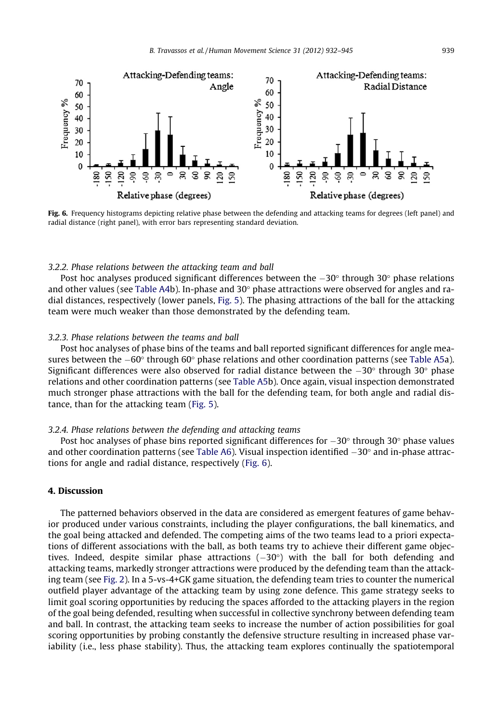

Fig. 6. Frequency histograms depicting relative phase between the defending and attacking teams for degrees (left panel) and radial distance (right panel), with error bars representing standard deviation.

#### 3.2.2. Phase relations between the attacking team and ball

Post hoc analyses produced significant differences between the  $-30^{\circ}$  through 30 $^{\circ}$  phase relations and other values (see [Table A4](#page-11-0)b). In-phase and  $30^{\circ}$  phase attractions were observed for angles and radial distances, respectively (lower panels, [Fig. 5](#page-6-0)). The phasing attractions of the ball for the attacking team were much weaker than those demonstrated by the defending team.

#### 3.2.3. Phase relations between the teams and ball

Post hoc analyses of phase bins of the teams and ball reported significant differences for angle measures between the  $-60^{\circ}$  through 60° phase relations and other coordination patterns (see [Table A5a](#page-12-0)). Significant differences were also observed for radial distance between the  $-30^{\circ}$  through 30 $^{\circ}$  phase relations and other coordination patterns (see [Table A5](#page-12-0)b). Once again, visual inspection demonstrated much stronger phase attractions with the ball for the defending team, for both angle and radial distance, than for the attacking team ([Fig. 5](#page-6-0)).

#### 3.2.4. Phase relations between the defending and attacking teams

Post hoc analyses of phase bins reported significant differences for  $-30^{\circ}$  through 30 $^{\circ}$  phase values and other coordination patterns (see [Table A6\)](#page-12-0). Visual inspection identified  $-30^\circ$  and in-phase attractions for angle and radial distance, respectively (Fig. 6).

## 4. Discussion

The patterned behaviors observed in the data are considered as emergent features of game behavior produced under various constraints, including the player configurations, the ball kinematics, and the goal being attacked and defended. The competing aims of the two teams lead to a priori expectations of different associations with the ball, as both teams try to achieve their different game objectives. Indeed, despite similar phase attractions  $(-30^{\circ})$  with the ball for both defending and attacking teams, markedly stronger attractions were produced by the defending team than the attacking team (see [Fig. 2](#page-4-0)). In a 5-vs-4+GK game situation, the defending team tries to counter the numerical outfield player advantage of the attacking team by using zone defence. This game strategy seeks to limit goal scoring opportunities by reducing the spaces afforded to the attacking players in the region of the goal being defended, resulting when successful in collective synchrony between defending team and ball. In contrast, the attacking team seeks to increase the number of action possibilities for goal scoring opportunities by probing constantly the defensive structure resulting in increased phase variability (i.e., less phase stability). Thus, the attacking team explores continually the spatiotemporal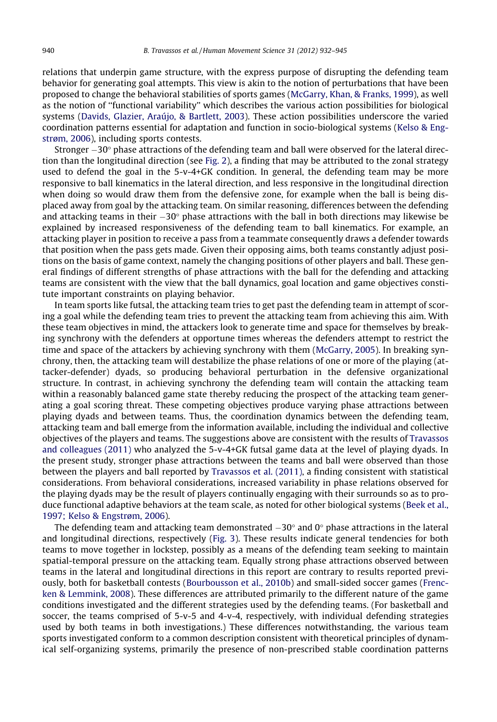relations that underpin game structure, with the express purpose of disrupting the defending team behavior for generating goal attempts. This view is akin to the notion of perturbations that have been proposed to change the behavioral stabilities of sports games ([McGarry, Khan, & Franks, 1999](#page-13-0)), as well as the notion of ''functional variability'' which describes the various action possibilities for biological systems [\(Davids, Glazier, Araújo, & Bartlett, 2003](#page-12-0)). These action possibilities underscore the varied coordination patterns essential for adaptation and function in socio-biological systems [\(Kelso & Eng](#page-13-0)[strøm, 2006](#page-13-0)), including sports contests.

Stronger  $-30^{\circ}$  phase attractions of the defending team and ball were observed for the lateral direction than the longitudinal direction (see [Fig. 2\)](#page-4-0), a finding that may be attributed to the zonal strategy used to defend the goal in the 5-v-4+GK condition. In general, the defending team may be more responsive to ball kinematics in the lateral direction, and less responsive in the longitudinal direction when doing so would draw them from the defensive zone, for example when the ball is being displaced away from goal by the attacking team. On similar reasoning, differences between the defending and attacking teams in their  $-30^{\circ}$  phase attractions with the ball in both directions may likewise be explained by increased responsiveness of the defending team to ball kinematics. For example, an attacking player in position to receive a pass from a teammate consequently draws a defender towards that position when the pass gets made. Given their opposing aims, both teams constantly adjust positions on the basis of game context, namely the changing positions of other players and ball. These general findings of different strengths of phase attractions with the ball for the defending and attacking teams are consistent with the view that the ball dynamics, goal location and game objectives constitute important constraints on playing behavior.

In team sports like futsal, the attacking team tries to get past the defending team in attempt of scoring a goal while the defending team tries to prevent the attacking team from achieving this aim. With these team objectives in mind, the attackers look to generate time and space for themselves by breaking synchrony with the defenders at opportune times whereas the defenders attempt to restrict the time and space of the attackers by achieving synchrony with them [\(McGarry, 2005](#page-13-0)). In breaking synchrony, then, the attacking team will destabilize the phase relations of one or more of the playing (attacker-defender) dyads, so producing behavioral perturbation in the defensive organizational structure. In contrast, in achieving synchrony the defending team will contain the attacking team within a reasonably balanced game state thereby reducing the prospect of the attacking team generating a goal scoring threat. These competing objectives produce varying phase attractions between playing dyads and between teams. Thus, the coordination dynamics between the defending team, attacking team and ball emerge from the information available, including the individual and collective objectives of the players and teams. The suggestions above are consistent with the results of [Travassos](#page-13-0) [and colleagues \(2011\)](#page-13-0) who analyzed the 5-v-4+GK futsal game data at the level of playing dyads. In the present study, stronger phase attractions between the teams and ball were observed than those between the players and ball reported by [Travassos et al. \(2011\),](#page-13-0) a finding consistent with statistical considerations. From behavioral considerations, increased variability in phase relations observed for the playing dyads may be the result of players continually engaging with their surrounds so as to produce functional adaptive behaviors at the team scale, as noted for other biological systems ([Beek et al.,](#page-12-0) [1997; Kelso & Engstrøm, 2006](#page-12-0)).

The defending team and attacking team demonstrated  $-30^{\circ}$  and 0° phase attractions in the lateral and longitudinal directions, respectively [\(Fig. 3](#page-5-0)). These results indicate general tendencies for both teams to move together in lockstep, possibly as a means of the defending team seeking to maintain spatial-temporal pressure on the attacking team. Equally strong phase attractions observed between teams in the lateral and longitudinal directions in this report are contrary to results reported previously, both for basketball contests ([Bourbousson et al., 2010b\)](#page-12-0) and small-sided soccer games [\(Frenc](#page-13-0)[ken & Lemmink, 2008\)](#page-13-0). These differences are attributed primarily to the different nature of the game conditions investigated and the different strategies used by the defending teams. (For basketball and soccer, the teams comprised of 5-v-5 and 4-v-4, respectively, with individual defending strategies used by both teams in both investigations.) These differences notwithstanding, the various team sports investigated conform to a common description consistent with theoretical principles of dynamical self-organizing systems, primarily the presence of non-prescribed stable coordination patterns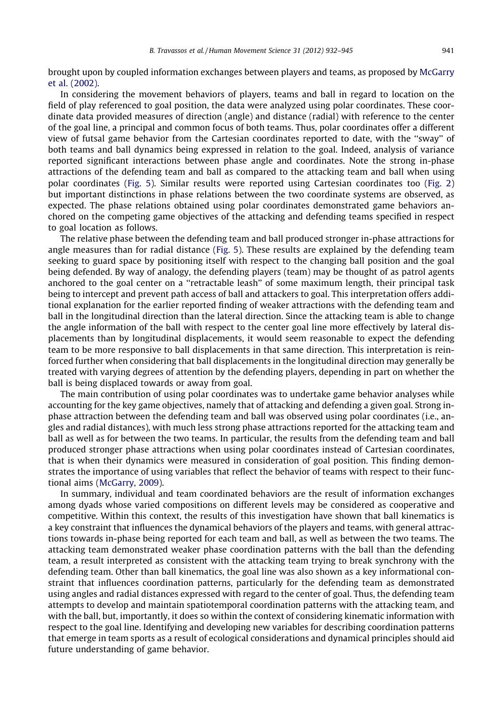brought upon by coupled information exchanges between players and teams, as proposed by [McGarry](#page-13-0) [et al. \(2002\).](#page-13-0)

In considering the movement behaviors of players, teams and ball in regard to location on the field of play referenced to goal position, the data were analyzed using polar coordinates. These coordinate data provided measures of direction (angle) and distance (radial) with reference to the center of the goal line, a principal and common focus of both teams. Thus, polar coordinates offer a different view of futsal game behavior from the Cartesian coordinates reported to date, with the ''sway'' of both teams and ball dynamics being expressed in relation to the goal. Indeed, analysis of variance reported significant interactions between phase angle and coordinates. Note the strong in-phase attractions of the defending team and ball as compared to the attacking team and ball when using polar coordinates [\(Fig. 5](#page-6-0)). Similar results were reported using Cartesian coordinates too ([Fig. 2\)](#page-4-0) but important distinctions in phase relations between the two coordinate systems are observed, as expected. The phase relations obtained using polar coordinates demonstrated game behaviors anchored on the competing game objectives of the attacking and defending teams specified in respect to goal location as follows.

The relative phase between the defending team and ball produced stronger in-phase attractions for angle measures than for radial distance ([Fig. 5\)](#page-6-0). These results are explained by the defending team seeking to guard space by positioning itself with respect to the changing ball position and the goal being defended. By way of analogy, the defending players (team) may be thought of as patrol agents anchored to the goal center on a ''retractable leash'' of some maximum length, their principal task being to intercept and prevent path access of ball and attackers to goal. This interpretation offers additional explanation for the earlier reported finding of weaker attractions with the defending team and ball in the longitudinal direction than the lateral direction. Since the attacking team is able to change the angle information of the ball with respect to the center goal line more effectively by lateral displacements than by longitudinal displacements, it would seem reasonable to expect the defending team to be more responsive to ball displacements in that same direction. This interpretation is reinforced further when considering that ball displacements in the longitudinal direction may generally be treated with varying degrees of attention by the defending players, depending in part on whether the ball is being displaced towards or away from goal.

The main contribution of using polar coordinates was to undertake game behavior analyses while accounting for the key game objectives, namely that of attacking and defending a given goal. Strong inphase attraction between the defending team and ball was observed using polar coordinates (i.e., angles and radial distances), with much less strong phase attractions reported for the attacking team and ball as well as for between the two teams. In particular, the results from the defending team and ball produced stronger phase attractions when using polar coordinates instead of Cartesian coordinates, that is when their dynamics were measured in consideration of goal position. This finding demonstrates the importance of using variables that reflect the behavior of teams with respect to their functional aims [\(McGarry, 2009\)](#page-13-0).

In summary, individual and team coordinated behaviors are the result of information exchanges among dyads whose varied compositions on different levels may be considered as cooperative and competitive. Within this context, the results of this investigation have shown that ball kinematics is a key constraint that influences the dynamical behaviors of the players and teams, with general attractions towards in-phase being reported for each team and ball, as well as between the two teams. The attacking team demonstrated weaker phase coordination patterns with the ball than the defending team, a result interpreted as consistent with the attacking team trying to break synchrony with the defending team. Other than ball kinematics, the goal line was also shown as a key informational constraint that influences coordination patterns, particularly for the defending team as demonstrated using angles and radial distances expressed with regard to the center of goal. Thus, the defending team attempts to develop and maintain spatiotemporal coordination patterns with the attacking team, and with the ball, but, importantly, it does so within the context of considering kinematic information with respect to the goal line. Identifying and developing new variables for describing coordination patterns that emerge in team sports as a result of ecological considerations and dynamical principles should aid future understanding of game behavior.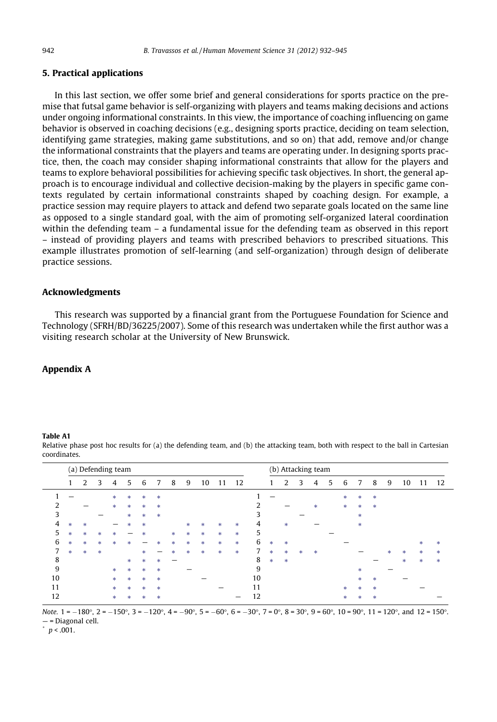## <span id="page-10-0"></span>5. Practical applications

In this last section, we offer some brief and general considerations for sports practice on the premise that futsal game behavior is self-organizing with players and teams making decisions and actions under ongoing informational constraints. In this view, the importance of coaching influencing on game behavior is observed in coaching decisions (e.g., designing sports practice, deciding on team selection, identifying game strategies, making game substitutions, and so on) that add, remove and/or change the informational constraints that the players and teams are operating under. In designing sports practice, then, the coach may consider shaping informational constraints that allow for the players and teams to explore behavioral possibilities for achieving specific task objectives. In short, the general approach is to encourage individual and collective decision-making by the players in specific game contexts regulated by certain informational constraints shaped by coaching design. For example, a practice session may require players to attack and defend two separate goals located on the same line as opposed to a single standard goal, with the aim of promoting self-organized lateral coordination within the defending team – a fundamental issue for the defending team as observed in this report – instead of providing players and teams with prescribed behaviors to prescribed situations. This example illustrates promotion of self-learning (and self-organization) through design of deliberate practice sessions.

## Acknowledgments

This research was supported by a financial grant from the Portuguese Foundation for Science and Technology (SFRH/BD/36225/2007). Some of this research was undertaken while the first author was a visiting research scholar at the University of New Brunswick.

## Appendix A

#### Table A1

Relative phase post hoc results for (a) the defending team, and (b) the attacking team, both with respect to the ball in Cartesian coordinates.

|                |               |               |        | (a) Defending team |     |        |               |        |               |    |               |               |    |        | (b) Attacking team |        |   |   |               |               |        |   |    |               |        |
|----------------|---------------|---------------|--------|--------------------|-----|--------|---------------|--------|---------------|----|---------------|---------------|----|--------|--------------------|--------|---|---|---------------|---------------|--------|---|----|---------------|--------|
|                |               | 2             | 3      | 4                  | 5   | 6      |               | 8      | 9             | 10 | 11            | 12            |    |        |                    | 3      | 4 | 5 | 6             |               | 8      | 9 | 10 | 11            | 12     |
|                |               |               |        | *                  | sk. | $\ast$ | $\ast$        |        |               |    |               |               |    |        |                    |        |   |   | $\ast$        | $\ast$        | *      |   |    |               |        |
| $\mathfrak{D}$ |               |               |        | $\ast$             | *   | $\ast$ | $\frac{1}{2}$ |        |               |    |               |               | ำ  |        |                    |        | * |   | *             | $\frac{1}{2}$ | $\ast$ |   |    |               |        |
| 3              |               |               |        |                    | *   | $\ast$ | $\ast$        |        |               |    |               |               | 3  |        |                    |        |   |   |               | $\ast$        |        |   |    |               |        |
| $\overline{4}$ | $\ast$        | $\frac{1}{2}$ |        |                    | *   | $\ast$ |               |        | *             | *  | $\ast$        | $\frac{1}{2}$ | 4  |        | $\ast$             |        |   |   |               | *             |        |   |    |               |        |
| 5              | $\ast$        | $\ast$        | *      | 宋                  |     | 米      |               | $\pm$  | $\ast$        | *  | $\ast$        | $\frac{1}{2}$ | 5  |        |                    |        |   |   |               |               |        |   |    |               |        |
| 6              | $\ast$        | $\ast$        | *      | $\ast$             | ×   |        | ŵ.            | $\ast$ | $\frac{1}{2}$ | *  | $\frac{1}{2}$ | $\frac{1}{2}$ | 6  | *      | $\ast$             |        |   |   |               |               |        |   |    | $\ast$        | *      |
| 7              | $\frac{1}{2}$ | $\ast$        | $\ast$ |                    |     | sk.    | -             | ŵ      | $\ast$        | *  | $\ast$        | $\frac{1}{2}$ |    | $\ast$ | $\frac{1}{2}$      | $\ast$ | * |   |               |               |        | 冰 | *  | $\frac{1}{2}$ | 宋      |
| 8              |               |               |        |                    | *   | *      | $\ast$        |        |               |    |               |               | 8  | $\ast$ | $\ast$             |        |   |   |               |               |        |   | *  | $\frac{1}{2}$ | $\ast$ |
| 9              |               |               |        | $\ast$             | *   | $\ast$ | $\ast$        |        |               |    |               |               | 9  |        |                    |        |   |   |               | $\ast$        |        |   |    |               |        |
| 10             |               |               |        | $\frac{1}{2}$      | *   | $\ast$ | $\frac{1}{2}$ |        |               |    |               |               | 10 |        |                    |        |   |   |               | $\frac{1}{2}$ | *      |   |    |               |        |
| 11             |               |               |        | $\frac{1}{2}$      | sk. | *      | $\mathbf{R}$  |        |               |    |               |               | 11 |        |                    |        |   |   | $\frac{1}{2}$ | $\ast$        | *      |   |    |               |        |
| 12             |               |               |        | *                  | *   | *      | *             |        |               |    |               |               | 12 |        |                    |        |   |   | $\ast$        | $\ast$        | *      |   |    |               |        |

Note.  $1 = -180^\circ$ ,  $2 = -150^\circ$ ,  $3 = -120^\circ$ ,  $4 = -90^\circ$ ,  $5 = -60^\circ$ ,  $6 = -30^\circ$ ,  $7 = 0^\circ$ ,  $8 = 30^\circ$ ,  $9 = 60^\circ$ ,  $10 = 90^\circ$ ,  $11 = 120^\circ$ , and  $12 = 150^\circ$ . — = Diagonal cell.

 $p < .001$ .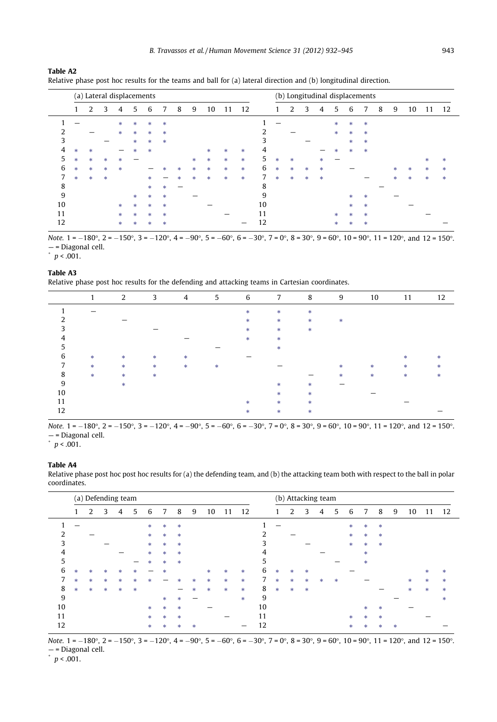|    |               | (a) Lateral displacements |        |               |        |        |        |        |        |        |               |        |    |               | (b) Longitudinal displacements |               |        |               |               |        |   |               |    |               |        |
|----|---------------|---------------------------|--------|---------------|--------|--------|--------|--------|--------|--------|---------------|--------|----|---------------|--------------------------------|---------------|--------|---------------|---------------|--------|---|---------------|----|---------------|--------|
|    |               | 2                         | 3      | 4             | 5      | 6      | 7      | 8      | 9      | 10     | 11            | 12     |    |               | 2                              | 3             | 4      | 5             | 6             | 7      | 8 | 9             | 10 | 11            | 12     |
|    |               |                           |        | *             | $\ast$ | $\ast$ | $\ast$ |        |        |        |               |        |    |               |                                |               |        | *             | *             | $\ast$ |   |               |    |               |        |
| ົາ |               |                           |        | $\ast$        | *      | $\ast$ | $\ast$ |        |        |        |               |        | 2  |               |                                |               |        | $\ast$        | *             | $\ast$ |   |               |    |               |        |
| 3  |               |                           |        |               | *      | $\ast$ | $\ast$ |        |        |        |               |        | 3  |               |                                |               |        |               | *             | $\ast$ |   |               |    |               |        |
| 4  | $\ast$        | $\ast$                    |        |               | sk.    | $\ast$ |        |        |        | *      | $\ast$        | *      | 4  |               |                                |               |        | $\frac{1}{2}$ | *             | $\ast$ |   |               |    |               |        |
| 5  | *             | *                         | $\ast$ | *             |        |        |        |        | *      | *      | $\frac{1}{2}$ | *      | 5  | $\pm$         | $\frac{1}{2}$                  |               | 宋      |               |               |        |   |               |    | $\ast$        | $\ast$ |
| 6  | $\frac{1}{2}$ | *                         | $\ast$ | $\frac{1}{2}$ |        |        | ×      | *      | $\ast$ | $\ast$ | $\frac{1}{2}$ | *      | 6  | $\ast$        | $\ast$                         | *             | $\ast$ |               |               |        |   | $\frac{1}{2}$ | *  | $\pm$         | $\ast$ |
| 7  | *             | *                         | $\ast$ |               |        | *      |        | $\ast$ | $\ast$ | *      | $\ast$        | $\ast$ | 7  | $\frac{1}{2}$ | $\frac{1}{2}$                  | $\frac{1}{2}$ | $\ast$ |               |               |        |   | *             | *  | $\frac{1}{2}$ | *      |
| 8  |               |                           |        |               |        | *      | $\ast$ |        |        |        |               |        | 8  |               |                                |               |        |               |               |        |   |               |    |               |        |
| 9  |               |                           |        |               | sk.    | $\ast$ | $\ast$ |        |        |        |               |        | 9  |               |                                |               |        |               | *             | *      |   |               |    |               |        |
| 10 |               |                           |        | $\frac{1}{2}$ | *      | $\ast$ | $\ast$ |        |        |        |               |        | 10 |               |                                |               |        |               | *             | $\ast$ |   |               |    |               |        |
| 11 |               |                           |        | $\frac{1}{2}$ | sk.    | $\ast$ | $\ast$ |        |        |        |               |        | 11 |               |                                |               |        | $\pm$         | $\frac{1}{2}$ | *      |   |               |    |               |        |
| 12 |               |                           |        | $\ast$        | $\ast$ | *      | $\ast$ |        |        |        |               |        | 12 |               |                                |               |        | $\ast$        | *             | $\ast$ |   |               |    |               |        |

Relative phase post hoc results for the teams and ball for (a) lateral direction and (b) longitudinal direction.

Note.  $1 = -180^{\circ}$ ,  $2 = -150^{\circ}$ ,  $3 = -120^{\circ}$ ,  $4 = -90^{\circ}$ ,  $5 = -60^{\circ}$ ,  $6 = -30^{\circ}$ ,  $7 = 0^{\circ}$ ,  $8 = 30^{\circ}$ ,  $9 = 60^{\circ}$ ,  $10 = 90^{\circ}$ ,  $11 = 120^{\circ}$ , and  $12 = 150^{\circ}$ . — = Diagonal cell.

 $^{\circ}$   $p$  < .001.

<span id="page-11-0"></span>Table A2

## Table A3

Relative phase post hoc results for the defending and attacking teams in Cartesian coordinates.

|    | 1             | 2      | $3^{\circ}$   | $\overline{4}$ | $5^{\circ}$ | 6      | 7 <sub>7</sub> | 8 <sup>1</sup>         | 9      | 10 | 11 | 12  |
|----|---------------|--------|---------------|----------------|-------------|--------|----------------|------------------------|--------|----|----|-----|
|    |               |        |               |                |             | $\ast$ | $\ast$         | $\frac{1}{2}$          |        |    |    |     |
|    |               |        |               |                |             | sk.    | *              | *                      | $\pm$  |    |    |     |
|    |               |        |               |                |             | ×.     | *              | $\mathcal{R}^{\prime}$ |        |    |    |     |
|    |               |        |               |                |             | ×.     | *              |                        |        |    |    |     |
|    |               |        |               |                |             |        | ŵ.             |                        |        |    |    |     |
| 6  | $\frac{1}{2}$ | *      | $\ast$        | $\ast$         |             |        |                |                        |        |    | *  | sk. |
| 7  | $\ast$        | *      | $\ast$        | $\ast$         | 宋           |        |                |                        | *      | 米。 | 米。 | *.  |
| 8  | 来。            | *      | $\frac{1}{2}$ |                |             |        |                |                        | $\ast$ | 来。 | 来。 | ×.  |
| 9  |               | $\ast$ |               |                |             |        | *              | *                      |        |    |    |     |
| 10 |               |        |               |                |             |        | *              | *                      |        |    |    |     |
| 11 |               |        |               |                |             | *      | *              | $\frac{1}{2}$          |        |    |    |     |
| 12 |               |        |               |                |             | *      | *              | $\ast$                 |        |    |    |     |

Note.  $1 = -180^\circ$ ,  $2 = -150^\circ$ ,  $3 = -120^\circ$ ,  $4 = -90^\circ$ ,  $5 = -60^\circ$ ,  $6 = -30^\circ$ ,  $7 = 0^\circ$ ,  $8 = 30^\circ$ ,  $9 = 60^\circ$ ,  $10 = 90^\circ$ ,  $11 = 120^\circ$ , and  $12 = 150^\circ$ . — = Diagonal cell. \* p < .001.

#### Table A4

Relative phase post hoc post hoc results for (a) the defending team, and (b) the attacking team both with respect to the ball in polar coordinates.

|    |               | (a) Defending team |        |   |   |               |               |        |     |               |              |     |    |               |               | (b) Attacking team |        |   |               |     |               |        |               |        |        |
|----|---------------|--------------------|--------|---|---|---------------|---------------|--------|-----|---------------|--------------|-----|----|---------------|---------------|--------------------|--------|---|---------------|-----|---------------|--------|---------------|--------|--------|
|    |               | $\overline{2}$     | 3      | 4 | 5 | 6             | 7             | 8      | 9   | 10            | $\mathbf{1}$ | 12  |    |               | 2             | ς                  | 4      | 5 | 6             | 7   | 8             | 9      | 10            |        | 12     |
|    |               |                    |        |   |   | $\ast$        | $\ast$        | $\ast$ |     |               |              |     |    |               |               |                    |        |   | *             | *   | $\ast$        |        |               |        |        |
| ำ  |               |                    |        |   |   | $\frac{1}{2}$ | $\ast$        | $\ast$ |     |               |              |     | ำ  |               |               |                    |        |   | $\ast$        | *   | *             |        |               |        |        |
| 3  |               |                    |        |   |   | $\frac{1}{2}$ | $\ast$        | $\ast$ |     |               |              |     | 3  |               |               |                    |        |   | $\ast$        | *   | $\ast$        |        |               |        |        |
| 4  |               |                    |        |   |   | $\ast$        | $\ast$        | $\ast$ |     |               |              |     | 4  |               |               |                    |        |   |               | *   |               |        |               |        |        |
| 5  |               |                    |        |   |   | sk.           | $\ast$        | $\ast$ |     |               |              |     | 5  |               |               |                    |        |   |               | *   |               |        |               |        |        |
| 6  | $\ast$        | $\ast$             | *      | × | * |               | $\ast$        |        |     | *             | $\ast$       | *   | 6  | *             | $\frac{1}{2}$ | $\frac{1}{2}$      |        |   |               |     |               |        |               | *      | $\ast$ |
| 7  | $\frac{1}{2}$ | $\ast$             | $\ast$ | * | * | 永             |               | *      | *   | $\frac{1}{2}$ | $\ast$       | *   | 7  | *             | *             | $\ast$             | $\ast$ | 宋 |               |     |               |        | *             | *      | $\ast$ |
| 8  | $\frac{1}{2}$ | $\ast$             | $\ast$ | * | * |               |               |        | sk. | $\ast$        | $\ast$       | *   | 8  | $\frac{1}{2}$ | $\ast$        | $\ast$             |        |   |               |     |               |        | $\frac{1}{2}$ | $\ast$ | $\ast$ |
| 9  |               |                    |        |   |   |               | *             | ×      |     |               |              | sk. | 9  |               |               |                    |        |   |               |     |               |        |               |        | $\ast$ |
| 10 |               |                    |        |   |   | $\frac{1}{2}$ | *             | $\ast$ |     |               |              |     | 10 |               |               |                    |        |   |               | *   | 米             |        |               |        |        |
| 11 |               |                    |        |   |   | $\mathcal{R}$ | $\frac{1}{2}$ | $\ast$ |     |               |              |     | 11 |               |               |                    |        |   | $\frac{1}{2}$ | *   | $\frac{1}{2}$ |        |               |        |        |
| 12 |               |                    |        |   |   | *             | $\ast$        | ×      | 米   |               |              |     | 12 |               |               |                    |        |   | $\ast$        | sk. | 米             | $\ast$ |               |        |        |

Note.  $1 = -180^{\circ}$ ,  $2 = -150^{\circ}$ ,  $3 = -120^{\circ}$ ,  $4 = -90^{\circ}$ ,  $5 = -60^{\circ}$ ,  $6 = -30^{\circ}$ ,  $7 = 0^{\circ}$ ,  $8 = 30^{\circ}$ ,  $9 = 60^{\circ}$ ,  $10 = 90^{\circ}$ ,  $11 = 120^{\circ}$ , and  $12 = 150^{\circ}$ . — = Diagonal cell. \* p < .001.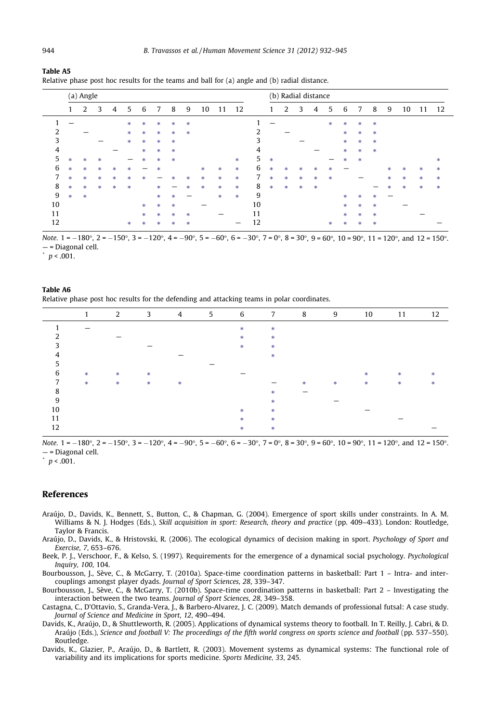<span id="page-12-0"></span>

| Table A5                                                                                          |  |
|---------------------------------------------------------------------------------------------------|--|
| Relative phase post hoc results for the teams and ball for $(a)$ angle and $(b)$ radial distance. |  |

|                |        | (a) Angle |        |        |        |   |        |               |        |    |               |               |    |        | (b) Radial distance |        |        |        |        |        |        |   |    |        |    |
|----------------|--------|-----------|--------|--------|--------|---|--------|---------------|--------|----|---------------|---------------|----|--------|---------------------|--------|--------|--------|--------|--------|--------|---|----|--------|----|
|                |        | 2         | 3      | 4      | 5      | 6 |        | 8             | 9      | 10 | 11            | 12            |    |        | 2                   | 3      | 4      | 5      | 6      |        | 8      | 9 | 10 | 11     | 12 |
|                |        |           |        |        | *      | * | $\ast$ | $\ast$        | $\ast$ |    |               |               |    |        |                     |        |        | $\ast$ | $\ast$ | $\ast$ | $\ast$ |   |    |        |    |
| $\overline{2}$ |        |           |        |        | *      | * | $\ast$ | $\frac{1}{2}$ | $\ast$ |    |               |               | 2  |        |                     |        |        |        | *      | $\ast$ | $\ast$ |   |    |        |    |
| 3              |        |           |        |        | $\ast$ | * | $\ast$ | $\frac{1}{2}$ |        |    |               |               | 3  |        |                     |        |        |        | *      | $\ast$ | $\ast$ |   |    |        |    |
| 4              |        |           |        |        |        | * | $\ast$ | $\ast$        |        |    |               |               | 4  |        |                     |        |        |        | *      | $\ast$ | $\ast$ |   |    |        |    |
| 5              | *      | $\ast$    | $\ast$ |        |        | * | $\ast$ | $\ast$        |        |    |               | $\ast$        | 5  | $\ast$ |                     |        |        |        | *      | $\ast$ |        |   |    |        | *  |
| 6              | $\ast$ | *         | $\ast$ | $\ast$ | *      |   | $\ast$ |               |        | *  | $\ast$        | $\frac{1}{2}$ | 6  | *      | *                   | $\ast$ | *      | *      |        |        |        | * | *  | *      | *  |
| 7              | *      | *         | $\ast$ | *      | *      | * |        | 宋             | *      | *  | $\frac{1}{2}$ | $\ast$        | 7  | $\ast$ | $\frac{1}{2}$       | $\ast$ | *      | $\ast$ |        |        |        | * | *  | $\ast$ | *  |
| 8              | $\ast$ | $\ast$    | *      | *      | *      |   | $\ast$ |               | $\ast$ | *  | $\ast$        | $\ast$        | 8  | $\ast$ | $\frac{1}{2}$       | $\ast$ | $\ast$ |        |        |        |        | * | *  | $\ast$ | *  |
| 9              | $\ast$ | $\ast$    |        |        |        |   | $\ast$ | $\ast$        |        |    | $\ast$        | $\ast$        | 9  |        |                     |        |        |        | *      | $\ast$ | $\ast$ |   |    |        |    |
| 10             |        |           |        |        |        | * | $\ast$ | $\ast$        |        |    |               |               | 10 |        |                     |        |        |        | $\ast$ | $\ast$ | $\ast$ |   |    |        |    |
| 11             |        |           |        |        |        | * | $\ast$ | $\ast$        | $\ast$ |    |               |               | 11 |        |                     |        |        |        | *      | $\ast$ | $\ast$ |   |    |        |    |
| 12             |        |           |        |        | *      | * | ŵ      | $\ast$        | $\ast$ |    |               |               | 12 |        |                     |        |        | $\ast$ | *      | $\ast$ | $\ast$ |   |    |        |    |

Note.  $1 = -180^{\circ}$ ,  $2 = -150^{\circ}$ ,  $3 = -120^{\circ}$ ,  $4 = -90^{\circ}$ ,  $5 = -60^{\circ}$ ,  $6 = -30^{\circ}$ ,  $7 = 0^{\circ}$ ,  $8 = 30^{\circ}$ ,  $9 = 60^{\circ}$ ,  $10 = 90^{\circ}$ ,  $11 = 120^{\circ}$ , and  $12 = 150^{\circ}$ . — = Diagonal cell.

 $p < .001$ .

#### Table A6 Relative phase post hoc results for the defending and attacking teams in polar coordinates.

|    | $\mathbf{1}$ | 2           |     | $3 \t 4$ | $\overline{\phantom{a}}$ 5 | $\overline{6}$ | 7 8           |   | 9 | 10       | 11 | 12 |
|----|--------------|-------------|-----|----------|----------------------------|----------------|---------------|---|---|----------|----|----|
|    |              |             |     |          |                            | *              | $\frac{1}{2}$ |   |   |          |    |    |
|    |              |             |     |          |                            | 来。             | *.            |   |   |          |    |    |
| ∍  |              |             |     |          |                            | 来。             | $\frac{1}{2}$ |   |   |          |    |    |
|    |              |             |     |          |                            |                | *.            |   |   |          |    |    |
|    |              |             |     |          |                            |                |               |   |   |          |    |    |
| 6  | $\ast$       | -sk         | $-$ |          |                            |                |               |   |   | ak ∴     | 来。 | *  |
| 7  | $\ast$       | <b>SKIN</b> | - * | 一米。      |                            |                |               | * | * | <b>*</b> | 来。 | ×. |
| 8  |              |             |     |          |                            |                | *             |   |   |          |    |    |
| 9  |              |             |     |          |                            |                | *             |   |   |          |    |    |
| 10 |              |             |     |          |                            | *              | *.            |   |   |          |    |    |
| 11 |              |             |     |          |                            | *              | *.            |   |   |          |    |    |
| 12 |              |             |     |          |                            | *              | *             |   |   |          |    |    |
|    |              |             |     |          |                            |                |               |   |   |          |    |    |

Note.  $1 = -180^{\circ}$ ,  $2 = -150^{\circ}$ ,  $3 = -120^{\circ}$ ,  $4 = -90^{\circ}$ ,  $5 = -60^{\circ}$ ,  $6 = -30^{\circ}$ ,  $7 = 0^{\circ}$ ,  $8 = 30^{\circ}$ ,  $9 = 60^{\circ}$ ,  $10 = 90^{\circ}$ ,  $11 = 120^{\circ}$ , and  $12 = 150^{\circ}$ . — = Diagonal cell.

 $^{\circ}$   $p$  < .001.

## References

- Araújo, D., Davids, K., Bennett, S., Button, C., & Chapman, G. (2004). Emergence of sport skills under constraints. In A. M. Williams & N. J. Hodges (Eds.), Skill acquisition in sport: Research, theory and practice (pp. 409–433). London: Routledge, Taylor & Francis.
- Araújo, D., Davids, K., & Hristovski, R. (2006). The ecological dynamics of decision making in sport. Psychology of Sport and Exercise, 7, 653–676.
- Beek, P. J., Verschoor, F., & Kelso, S. (1997). Requirements for the emergence of a dynamical social psychology. Psychological Inquiry, 100, 104.
- Bourbousson, J., Sève, C., & McGarry, T. (2010a). Space-time coordination patterns in basketball: Part 1 Intra- and intercouplings amongst player dyads. Journal of Sport Sciences, 28, 339–347.
- Bourbousson, J., Sève, C., & McGarry, T. (2010b). Space-time coordination patterns in basketball: Part 2 Investigating the interaction between the two teams. Journal of Sport Sciences, 28, 349–358.
- Castagna, C., D'Ottavio, S., Granda-Vera, J., & Barbero-Alvarez, J. C. (2009). Match demands of professional futsal: A case study. Journal of Science and Medicine in Sport, 12, 490–494.
- Davids, K., Araújo, D., & Shuttleworth, R. (2005). Applications of dynamical systems theory to football. In T. Reilly, J. Cabri, & D. Araújo (Eds.), Science and football V: The proceedings of the fifth world congress on sports science and football (pp. 537–550). Routledge.
- Davids, K., Glazier, P., Araújo, D., & Bartlett, R. (2003). Movement systems as dynamical systems: The functional role of variability and its implications for sports medicine. Sports Medicine, 33, 245.